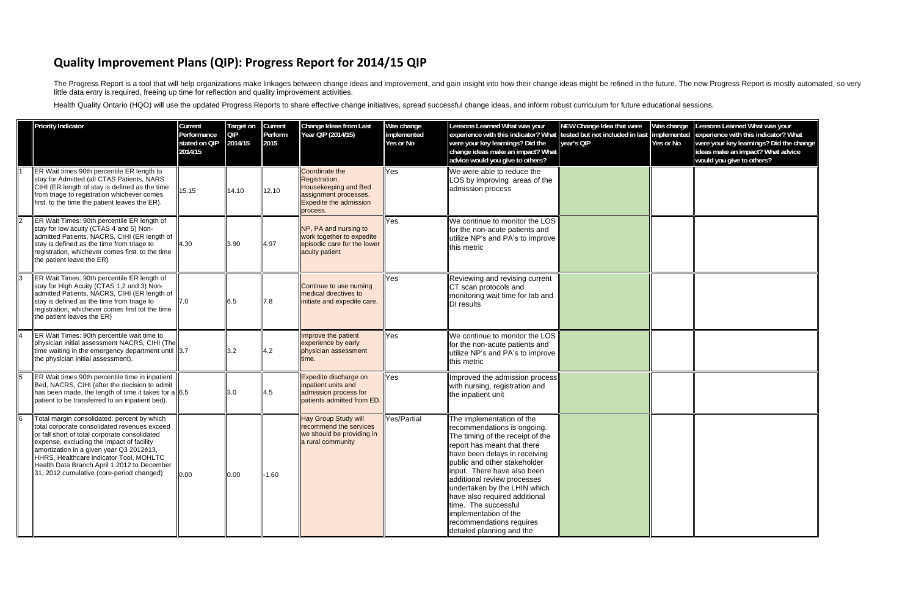## **Quality Improvement Plans (QIP): Progress Report for 2014/15 QIP**

The Progress Report is a tool that will help organizations make linkages between change ideas and improvement, and gain insight into how their change ideas might be refined in the future. The new Progress Report is mostly little data entry is required, freeing up time for reflection and quality improvement activities.

Health Quality Ontario (HQO) will use the updated Progress Reports to share effective change initiatives, spread successful change ideas, and inform robust curriculum for future educational sessions.

|                | <b>Priority Indicator</b>                                                                                                                                                                                                                                                                                                                                                    | Current<br>Performance<br>stated on QIP<br>2014/15 | <b>Target on</b><br>QIP<br>2014/15 | Current<br>Perform<br>2015 | Change Ideas from Last<br>Year OIP (2014/15)                                                                                  | Was change<br>implemented<br>Yes or No | Lessons Learned What was your<br>experience with this indicator? What<br>were your key learnings? Did the<br>change ideas make an impact? What<br>advice would you give to others?                                                                                                                                                                                                                                                    | NEW Change Idea that were<br>tested but not included in last<br>year's QIP | Was change<br>implemented<br>Yes or No | Lessons Learned What was your<br>experience with this indicator? What<br>were your key learnings? Did the change<br>ideas make an impact? What advice<br>would you give to others? |
|----------------|------------------------------------------------------------------------------------------------------------------------------------------------------------------------------------------------------------------------------------------------------------------------------------------------------------------------------------------------------------------------------|----------------------------------------------------|------------------------------------|----------------------------|-------------------------------------------------------------------------------------------------------------------------------|----------------------------------------|---------------------------------------------------------------------------------------------------------------------------------------------------------------------------------------------------------------------------------------------------------------------------------------------------------------------------------------------------------------------------------------------------------------------------------------|----------------------------------------------------------------------------|----------------------------------------|------------------------------------------------------------------------------------------------------------------------------------------------------------------------------------|
|                | ER Wait times 90th percentile ER length to<br>stay for Admitted (all CTAS Patients, NARS<br>CIHI (ER length of stay is defined as the time<br>from triage to registration whichever comes<br>first, to the time the patient leaves the ER).                                                                                                                                  | 15.15                                              | 14.10                              | 12.10                      | Coordinate the<br>Registration,<br>Housekeeping and Bed<br>assignment processes.<br><b>Expedite the admission</b><br>process. | Yes                                    | We were able to reduce the<br>LOS by improving areas of the<br>admission process                                                                                                                                                                                                                                                                                                                                                      |                                                                            |                                        |                                                                                                                                                                                    |
| 2              | ER Wait Times: 90th percentile ER length of<br>stay for low acuity (CTAS 4 and 5) Non-<br>admitted Patients, NACRS, CIHI (ER length of<br>stay is defined as the time from triage to<br>registration, whichever comes first, to the time<br>the patient leave the ER)                                                                                                        | 4.30                                               | 3.90                               | 4.97                       | NP, PA and nursing to<br>work together to expedite<br>episodic care for the lower<br>acuity patient                           | Yes                                    | We continue to monitor the LOS<br>for the non-acute patients and<br>utilize NP's and PA's to improve<br>this metric                                                                                                                                                                                                                                                                                                                   |                                                                            |                                        |                                                                                                                                                                                    |
| $\overline{3}$ | ER Wait Times: 90th percentile ER length of<br>stay for High Acuity (CTAS 1,2 and 3) Non-<br>admitted Patients, NACRS, CIHI (ER length of<br>stay is defined as the time from triage to<br>registration, whichever comes first tot the time<br>the patient leaves the ER)                                                                                                    | $\mathsf{I}7.0$                                    | 6.5                                | 7.8                        | Continue to use nursing<br>medical directives to<br>initiate and expedite care.                                               | Yes                                    | Reviewing and revising current<br>CT scan protocols and<br>monitoring wait time for lab and<br>DI results                                                                                                                                                                                                                                                                                                                             |                                                                            |                                        |                                                                                                                                                                                    |
| 14             | ER Wait Times: 90th percentile wait time to<br>physician initial assessment NACRS, CIHI (The<br>time waiting in the emergency department until $\parallel$ 3.7<br>the physician initial assessment).                                                                                                                                                                         |                                                    | 3.2                                | 4.2                        | Improve the patient<br>experience by early<br>physician assessment<br>time.                                                   | Yes                                    | We continue to monitor the LOS<br>for the non-acute patients and<br>utilize NP's and PA's to improve<br>this metric                                                                                                                                                                                                                                                                                                                   |                                                                            |                                        |                                                                                                                                                                                    |
| $\overline{5}$ | ER Wait times 90th percentile time in inpatient<br>Bed, NACRS, CIHI (after the decision to admit<br>$\parallel$ has been made, the length of time it takes for a $\parallel$ 6.5<br>patient to be transferred to an inpatient bed).                                                                                                                                          |                                                    | $\mathsf{I}3.0$                    | 4.5                        | Expedite discharge on<br>inpatient units and<br>admission process for<br>patients admitted from ED.                           | Yes                                    | Improved the admission process<br>with nursing, registration and<br>the inpatient unit                                                                                                                                                                                                                                                                                                                                                |                                                                            |                                        |                                                                                                                                                                                    |
| 6              | Total margin consolidated: percent by which<br>total corporate consolidated revenues exceed<br>or fall short of total corporate consolidated<br>expense, excluding the impact of facility<br>amortization in a given year Q3 2012é13,<br>HHRS, Healthcare indicator Tool, MOHLTC<br>Health Data Branch April 1 2012 to December<br>31, 2012 cumulative (core-period changed) | 0.00                                               | 0.00                               | $-1.60$                    | Hay Group Study will<br>recommend the services<br>we should be providing in<br>a rural community                              | Yes/Partial                            | The implementation of the<br>recommendations is ongoing.<br>The timing of the receipt of the<br>report has meant that there<br>have been delays in receiving<br>public and other stakeholder<br>input. There have also been<br>additional review processes<br>undertaken by the LHIN which<br>have also required additional<br>time. The successful<br>implementation of the<br>recommendations requires<br>detailed planning and the |                                                                            |                                        |                                                                                                                                                                                    |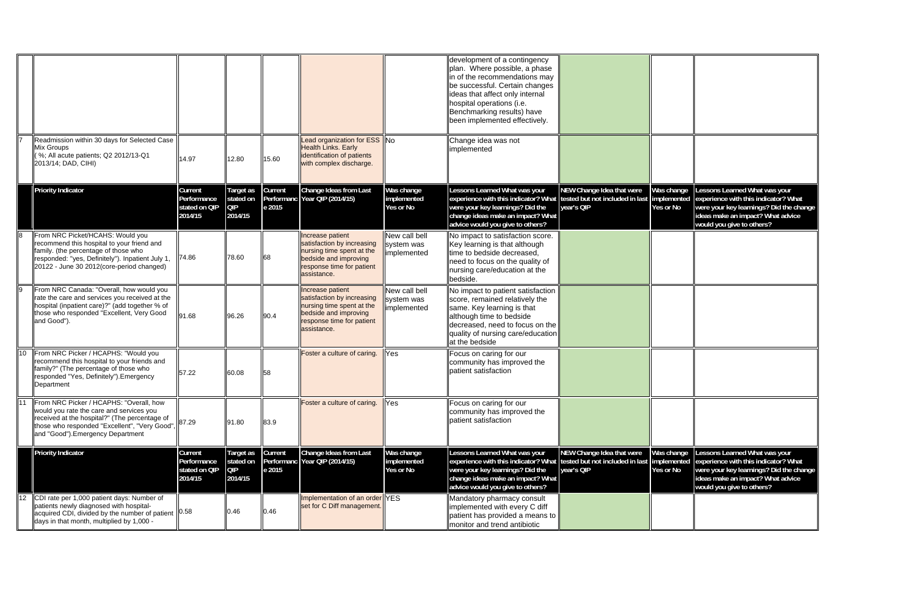|                 |                                                                                                                                                                                                                            |                                                    |                                                 |                   |                                                                                                                                                  |                                               | development of a contingency<br>plan. Where possible, a phase<br>in of the recommendations may<br>be successful. Certain changes<br>ideas that affect only internal<br>hospital operations (i.e.<br>Benchmarking results) have<br>been implemented effectively. |                                                                            |                                        |                                                                                                                                                                                    |
|-----------------|----------------------------------------------------------------------------------------------------------------------------------------------------------------------------------------------------------------------------|----------------------------------------------------|-------------------------------------------------|-------------------|--------------------------------------------------------------------------------------------------------------------------------------------------|-----------------------------------------------|-----------------------------------------------------------------------------------------------------------------------------------------------------------------------------------------------------------------------------------------------------------------|----------------------------------------------------------------------------|----------------------------------------|------------------------------------------------------------------------------------------------------------------------------------------------------------------------------------|
|                 | Readmission within 30 days for Selected Case<br>Mix Groups<br>$\left\ $ (%; All acute patients; Q2 2012/13-Q1<br>2013/14; DAD, CIHI)                                                                                       | 14.97                                              | 12.80                                           | 15.60             | Lead organization for ESS No<br><b>Health Links. Early</b><br>identification of patients<br>with complex discharge.                              |                                               | Change idea was not<br>implemented                                                                                                                                                                                                                              |                                                                            |                                        |                                                                                                                                                                                    |
|                 | <b>Priority Indicator</b>                                                                                                                                                                                                  | Current<br>Performance<br>stated on QIP<br>2014/15 | Target as<br>stated on<br><b>QIP</b><br>2014/15 | Current<br>e 2015 | Change Ideas from Last<br>Performanc Year OIP (2014/15)                                                                                          | Was change<br>implemented<br><b>Yes or No</b> | Lessons Learned What was your<br>experience with this indicator? What<br>were your key learnings? Did the<br>change ideas make an impact? What<br>advice would you give to others?                                                                              | NEW Change Idea that were<br>tested but not included in last<br>year's QIP | Was change<br>implemented<br>Yes or No | Lessons Learned What was your<br>experience with this indicator? What<br>were your key learnings? Did the change<br>ideas make an impact? What advice<br>would you give to others? |
| ll8             | From NRC Picket/HCAHS: Would you<br>recommend this hospital to your friend and<br>family. (the percentage of those who<br>responded: "yes, Definitely"). Inpatient July 1,<br>20122 - June 30 2012(core-period changed)    | 74.86                                              | 78.60                                           | 68                | Increase patient<br>satisfaction by increasing<br>nursing time spent at the<br>bedside and improving<br>response time for patient<br>assistance. | New call bell<br>system was<br>implemented    | No impact to satisfaction score.<br>Key learning is that although<br>time to bedside decreased.<br>need to focus on the quality of<br>nursing care/education at the<br>bedside.                                                                                 |                                                                            |                                        |                                                                                                                                                                                    |
| $\overline{9}$  | From NRC Canada: "Overall, how would you<br>rate the care and services you received at the<br>hospital (inpatient care)?" (add together % of<br>those who responded "Excellent, Very Good<br>and Good").                   | 91.68                                              | 96.26                                           | 90.4              | Increase patient<br>satisfaction by increasing<br>nursing time spent at the<br>bedside and improving<br>response time for patient<br>assistance. | New call bell<br>system was<br>implemented    | No impact to patient satisfaction<br>score, remained relatively the<br>same. Key learning is that<br>although time to bedside<br>$ decreased$ , need to focus on the<br>quality of nursing care/education<br>at the bedside                                     |                                                                            |                                        |                                                                                                                                                                                    |
| $\overline{10}$ | From NRC Picker / HCAPHS: "Would you<br>recommend this hospital to your friends and<br>family?" (The percentage of those who<br>responded "Yes, Definitely"). Emergency<br>Department                                      | 57.22                                              | 60.08                                           | 58                | Foster a culture of caring.                                                                                                                      | Yes                                           | Focus on caring for our<br>community has improved the<br>patient satisfaction                                                                                                                                                                                   |                                                                            |                                        |                                                                                                                                                                                    |
| 111             | From NRC Picker / HCAPHS: "Overall, how<br>would you rate the care and services you<br>received at the hospital?" (The percentage of<br>those who responded "Excellent", "Very Good",<br>and "Good"). Emergency Department | 87.29                                              | 91.80                                           | 83.9              | Foster a culture of caring.                                                                                                                      | Yes                                           | Focus on caring for our<br>community has improved the<br>patient satisfaction                                                                                                                                                                                   |                                                                            |                                        |                                                                                                                                                                                    |
|                 | <b>Priority Indicator</b>                                                                                                                                                                                                  | Current<br>Performance<br>stated on QIP<br>2014/15 | Target as<br>stated on<br><b>QIP</b><br>2014/15 | Current<br>e 2015 | Change Ideas from Last<br>Performanc Year OIP (2014/15)                                                                                          | Was change<br>implemented<br><b>Yes or No</b> | Lessons Learned What was your<br>experience with this indicator? What<br>were your key learnings? Did the<br>change ideas make an impact? What<br>advice would you give to others?                                                                              | NEW Change Idea that were<br>tested but not included in last<br>year's QIP | Was change<br>implemented<br>Yes or No | Lessons Learned What was your<br>experience with this indicator? What<br>were your key learnings? Did the change<br>ideas make an impact? What advice<br>would you give to others? |
|                 | CDI rate per 1,000 patient days: Number of<br>patients newly diagnosed with hospital-<br>acquired CDI, divided by the number of patient 10.58<br>days in that month, multiplied by 1,000 -                                 |                                                    | 0.46                                            | 0.46              | Implementation of an order YES<br>set for C Diff management.                                                                                     |                                               | Mandatory pharmacy consult<br>implemented with every C diff<br>$ $ patient has provided a means to $ $<br>monitor and trend antibiotic                                                                                                                          |                                                                            |                                        |                                                                                                                                                                                    |